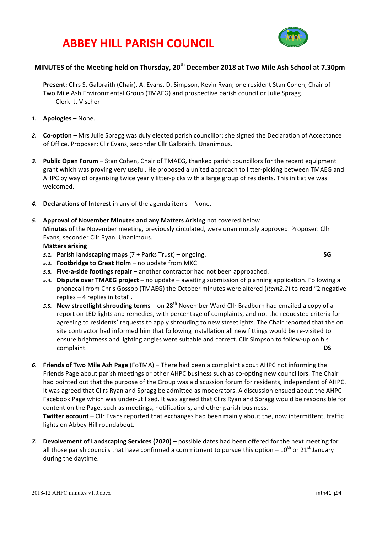# **ABBEY HILL PARISH COUNCIL**



## **MINUTES of the Meeting held on Thursday, 20th December 2018 at Two Mile Ash School at 7.30pm**

Present: Cllrs S. Galbraith (Chair), A. Evans, D. Simpson, Kevin Ryan; one resident Stan Cohen, Chair of Two Mile Ash Environmental Group (TMAEG) and prospective parish councillor Julie Spragg. Clerk: J. Vischer

- *1.* **Apologies** None.
- 2. **Co-option** Mrs Julie Spragg was duly elected parish councillor; she signed the Declaration of Acceptance of Office. Proposer: Cllr Evans, seconder Cllr Galbraith. Unanimous.
- 3. Public Open Forum Stan Cohen, Chair of TMAEG, thanked parish councillors for the recent equipment grant which was proving very useful. He proposed a united approach to litter-picking between TMAEG and AHPC by way of organising twice yearly litter-picks with a large group of residents. This initiative was welcomed.
- 4. **Declarations of Interest** in any of the agenda items None.
- **5.** Approval of November Minutes and any Matters Arising not covered below **Minutes** of the November meeting, previously circulated, were unanimously approved. Proposer: Cllr Evans, seconder Cllr Ryan. Unanimous.

#### **Matters arising**

*5.1.* **Parish landscaping maps** (7 + Parks Trust) – ongoing. **SG**

- 5.2. **Footbridge to Great Holm** no update from MKC
- **5.3. Five-a-side footings repair** another contractor had not been approached. 5.4. Dispute over TMAEG project – no update – awaiting submission of planning application. Following a
- phonecall from Chris Gossop (TMAEG) the October minutes were altered *(item2.2)* to read "2 negative replies  $-4$  replies in total".
- 5.5. **New streetlight shrouding terms** on 28<sup>th</sup> November Ward Cllr Bradburn had emailed a copy of a report on LED lights and remedies, with percentage of complaints, and not the requested criteria for agreeing to residents' requests to apply shrouding to new streetlights. The Chair reported that the on site contractor had informed him that following installation all new fittings would be re-visited to ensure brightness and lighting angles were suitable and correct. Cllr Simpson to follow-up on his complaint. **DS**
- 6. Friends of Two Mile Ash Page (FoTMA) There had been a complaint about AHPC not informing the Friends Page about parish meetings or other AHPC business such as co-opting new councillors. The Chair had pointed out that the purpose of the Group was a discussion forum for residents, independent of AHPC. It was agreed that Cllrs Ryan and Spragg be admitted as moderators. A discussion ensued about the AHPC Facebook Page which was under-utilised. It was agreed that Cllrs Ryan and Spragg would be responsible for content on the Page, such as meetings, notifications, and other parish business. **Twitter account** – Cllr Evans reported that exchanges had been mainly about the, now intermittent, traffic lights on Abbey Hill roundabout.
- 7. **Devolvement of Landscaping Services (2020)** possible dates had been offered for the next meeting for all those parish councils that have confirmed a commitment to pursue this option –  $10^{th}$  or  $21^{st}$  January during the daytime.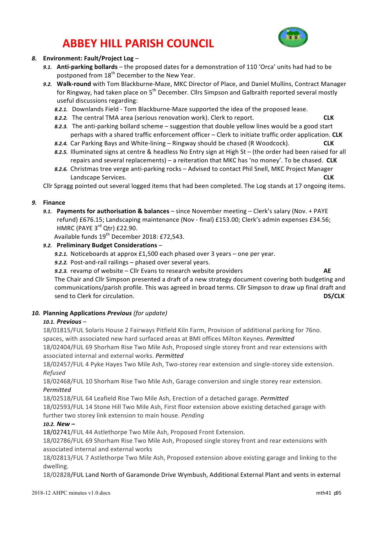# **ABBEY HILL PARISH COUNCIL**



### *8.* **Environment: Fault/Project Log** –

- 9.1. **Anti-parking bollards** the proposed dates for a demonstration of 110 'Orca' units had had to be postponed from 18<sup>th</sup> December to the New Year.
- 9.2. Walk-round with Tom Blackburne-Maze, MKC Director of Place, and Daniel Mullins, Contract Manager for Ringway, had taken place on 5<sup>th</sup> December. Cllrs Simpson and Galbraith reported several mostly useful discussions regarding:
	- 8.2.1. Downlands Field Tom Blackburne-Maze supported the idea of the proposed lease.
	- **8.2.2.** The central TMA area (serious renovation work). Clerk to report. **CLK**
	- 8.2.3. The anti-parking bollard scheme suggestion that double yellow lines would be a good start perhaps with a shared traffic enforcement officer – Clerk to initiate traffic order application. CLK
	- **8.2.4.** Car Parking Bays and White-lining Ringway should be chased (R Woodcock). **CLK**
	- 8.2.5. Illuminated signs at centre & headless No Entry sign at High St (the order had been raised for all repairs and several replacements) – a reiteration that MKC has 'no money'. To be chased. CLK
	- 8.2.6. Christmas tree verge anti-parking rocks Advised to contact Phil Snell, MKC Project Manager **Landscape Services. CLK**

Cllr Spragg pointed out several logged items that had been completed. The Log stands at 17 ongoing items.

#### *9.* **Finance**

9.1. Payments for authorisation & balances – since November meeting – Clerk's salary (Nov. + PAYE refund) £676.15; Landscaping maintenance (Nov - final) £153.00; Clerk's admin expenses £34.56; HMRC (PAYE  $3^{rd}$  Qtr) £22.90.

Available funds 19<sup>th</sup> December 2018: £72,543.

### *9.2.* **Preliminary Budget Considerations** –

- 9.2.1. Noticeboards at approx  $£1,500$  each phased over 3 years one per year.
- 9.2.2. Post-and-rail railings phased over several years.
- *9.2.3.* revamp of website Cllr Evans to research website providers **AE**

The Chair and Cllr Simpson presented a draft of a new strategy document covering both budgeting and communications/parish profile. This was agreed in broad terms. Cllr Simpson to draw up final draft and send to Clerk for circulation. **DS/CLK** 

### *10.* **Planning Applications** *Previous (for update)*

#### *10.1. Previous* –

18/01815/FUL Solaris House 2 Fairways Pitfield Kiln Farm, Provision of additional parking for 76no. spaces, with associated new hard surfaced areas at BMI offices Milton Keynes. *Permitted* 18/02404/FUL 69 Shorham Rise Two Mile Ash, Proposed single storey front and rear extensions with

associated internal and external works. Permitted

18/02457/FUL 4 Pyke Hayes Two Mile Ash, Two-storey rear extension and single-storey side extension. *Refused*

18/02468/FUL 10 Shorham Rise Two Mile Ash, Garage conversion and single storey rear extension. *Permitted*

18/02518/FUL 64 Leafield Rise Two Mile Ash, Erection of a detached garage. Permitted

18/02593/FUL 14 Stone Hill Two Mile Ash, First floor extension above existing detached garage with further two storey link extension to main house. *Pending* 

### *10.2. New –*

18/02741/FUL 44 Astlethorpe Two Mile Ash, Proposed Front Extension.

18/02786/FUL 69 Shorham Rise Two Mile Ash, Proposed single storey front and rear extensions with associated internal and external works

18/02813/FUL 7 Astlethorpe Two Mile Ash, Proposed extension above existing garage and linking to the dwelling.

18/02828/FUL Land North of Garamonde Drive Wymbush, Additional External Plant and vents in external